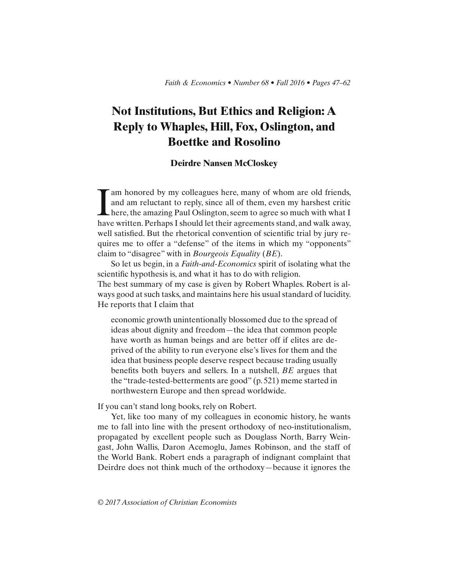# **Not Institutions, But Ethics and Religion: A Reply to Whaples, Hill, Fox, Oslington, and Boettke and Rosolino**

## **Deirdre Nansen McCloskey**

I am honored by my colleagues here, many of whom are old friends,<br>and am reluctant to reply, since all of them, even my harshest critic<br>here, the amazing Paul Oslington, seem to agree so much with what I<br>have written Perha and am reluctant to reply, since all of them, even my harshest critic here, the amazing Paul Oslington, seem to agree so much with what I have written. Perhaps I should let their agreements stand, and walk away, well satisfied. But the rhetorical convention of scientific trial by jury requires me to offer a "defense" of the items in which my "opponents" claim to "disagree" with in *Bourgeois Equality* (*BE*).

So let us begin, in a *Faith-and-Economics* spirit of isolating what the scientific hypothesis is, and what it has to do with religion. The best summary of my case is given by Robert Whaples. Robert is always good at such tasks, and maintains here his usual standard of lucidity.

He reports that I claim that

economic growth unintentionally blossomed due to the spread of ideas about dignity and freedom—the idea that common people have worth as human beings and are better off if elites are deprived of the ability to run everyone else's lives for them and the idea that business people deserve respect because trading usually benefits both buyers and sellers. In a nutshell, *BE* argues that the "trade-tested-betterments are good" (p. 521) meme started in northwestern Europe and then spread worldwide.

If you can't stand long books, rely on Robert.

Yet, like too many of my colleagues in economic history, he wants me to fall into line with the present orthodoxy of neo-institutionalism, propagated by excellent people such as Douglass North, Barry Weingast, John Wallis, Daron Acemoglu, James Robinson, and the staff of the World Bank. Robert ends a paragraph of indignant complaint that Deirdre does not think much of the orthodoxy—because it ignores the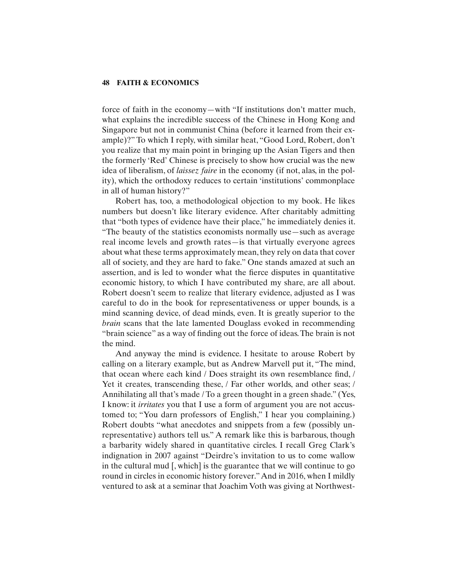force of faith in the economy—with "If institutions don't matter much, what explains the incredible success of the Chinese in Hong Kong and Singapore but not in communist China (before it learned from their example)?" To which I reply, with similar heat, "Good Lord, Robert, don't you realize that my main point in bringing up the Asian Tigers and then the formerly 'Red' Chinese is precisely to show how crucial was the new idea of liberalism, of *laissez faire* in the economy (if not, alas, in the polity), which the orthodoxy reduces to certain 'institutions' commonplace in all of human history?"

Robert has, too, a methodological objection to my book. He likes numbers but doesn't like literary evidence. After charitably admitting that "both types of evidence have their place," he immediately denies it. "The beauty of the statistics economists normally use—such as average real income levels and growth rates—is that virtually everyone agrees about what these terms approximately mean, they rely on data that cover all of society, and they are hard to fake." One stands amazed at such an assertion, and is led to wonder what the fierce disputes in quantitative economic history, to which I have contributed my share, are all about. Robert doesn't seem to realize that literary evidence, adjusted as I was careful to do in the book for representativeness or upper bounds, is a mind scanning device, of dead minds, even. It is greatly superior to the *brain* scans that the late lamented Douglass evoked in recommending "brain science" as a way of finding out the force of ideas. The brain is not the mind.

And anyway the mind is evidence. I hesitate to arouse Robert by calling on a literary example, but as Andrew Marvell put it, "The mind, that ocean where each kind / Does straight its own resemblance find, / Yet it creates, transcending these, / Far other worlds, and other seas; / Annihilating all that's made / To a green thought in a green shade." (Yes, I know: it *irritates* you that I use a form of argument you are not accustomed to; "You darn professors of English," I hear you complaining.) Robert doubts "what anecdotes and snippets from a few (possibly unrepresentative) authors tell us." A remark like this is barbarous, though a barbarity widely shared in quantitative circles. I recall Greg Clark's indignation in 2007 against "Deirdre's invitation to us to come wallow in the cultural mud [, which] is the guarantee that we will continue to go round in circles in economic history forever." And in 2016, when I mildly ventured to ask at a seminar that Joachim Voth was giving at Northwest-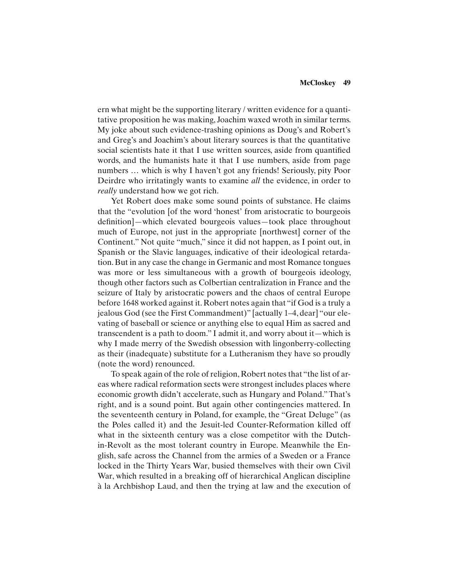#### **McCloskey 49**

ern what might be the supporting literary / written evidence for a quantitative proposition he was making, Joachim waxed wroth in similar terms. My joke about such evidence-trashing opinions as Doug's and Robert's and Greg's and Joachim's about literary sources is that the quantitative social scientists hate it that I use written sources, aside from quantified words, and the humanists hate it that I use numbers, aside from page numbers … which is why I haven't got any friends! Seriously, pity Poor Deirdre who irritatingly wants to examine *all* the evidence, in order to *really* understand how we got rich.

Yet Robert does make some sound points of substance. He claims that the "evolution [of the word 'honest' from aristocratic to bourgeois definition-which elevated bourgeois values-took place throughout much of Europe, not just in the appropriate [northwest] corner of the Continent." Not quite "much," since it did not happen, as I point out, in Spanish or the Slavic languages, indicative of their ideological retardation. But in any case the change in Germanic and most Romance tongues was more or less simultaneous with a growth of bourgeois ideology, though other factors such as Colbertian centralization in France and the seizure of Italy by aristocratic powers and the chaos of central Europe before 1648 worked against it. Robert notes again that "if God is a truly a jealous God (see the First Commandment)" [actually 1–4, dear] "our elevating of baseball or science or anything else to equal Him as sacred and transcendent is a path to doom." I admit it, and worry about it—which is why I made merry of the Swedish obsession with lingonberry-collecting as their (inadequate) substitute for a Lutheranism they have so proudly (note the word) renounced.

To speak again of the role of religion, Robert notes that "the list of areas where radical reformation sects were strongest includes places where economic growth didn't accelerate, such as Hungary and Poland." That's right, and is a sound point. But again other contingencies mattered. In the seventeenth century in Poland, for example, the "Great Deluge" (as the Poles called it) and the Jesuit-led Counter-Reformation killed off what in the sixteenth century was a close competitor with the Dutchin-Revolt as the most tolerant country in Europe. Meanwhile the English, safe across the Channel from the armies of a Sweden or a France locked in the Thirty Years War, busied themselves with their own Civil War, which resulted in a breaking off of hierarchical Anglican discipline à la Archbishop Laud, and then the trying at law and the execution of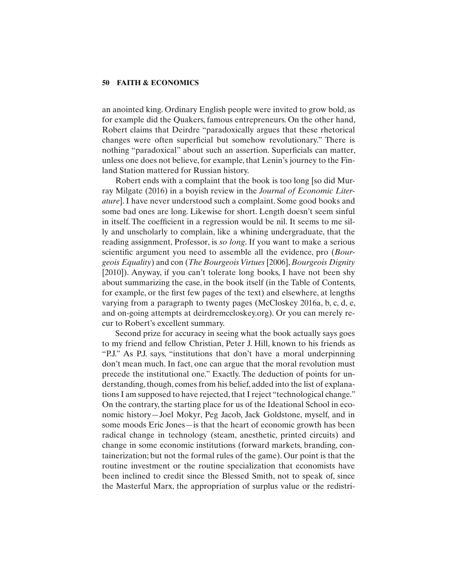an anointed king. Ordinary English people were invited to grow bold, as for example did the Quakers, famous entrepreneurs. On the other hand, Robert claims that Deirdre "paradoxically argues that these rhetorical changes were often superficial but somehow revolutionary." There is nothing "paradoxical" about such an assertion. Superficials can matter, unless one does not believe, for example, that Lenin's journey to the Finland Station mattered for Russian history.

Robert ends with a complaint that the book is too long [so did Murray Milgate (2016) in a boyish review in the *Journal of Economic Literature*]. I have never understood such a complaint. Some good books and some bad ones are long. Likewise for short. Length doesn't seem sinful in itself. The coefficient in a regression would be nil. It seems to me silly and unscholarly to complain, like a whining undergraduate, that the reading assignment, Professor, is *so long*. If you want to make a serious scientific argument you need to assemble all the evidence, pro *(Bourgeois Equality*) and con (*The Bourgeois Virtues* [2006], *Bourgeois Dignity*  [2010]). Anyway, if you can't tolerate long books, I have not been shy about summarizing the case, in the book itself (in the Table of Contents, for example, or the first few pages of the text) and elsewhere, at lengths varying from a paragraph to twenty pages (McCloskey 2016a, b, c, d, e, and on-going attempts at deirdremccloskey.org). Or you can merely recur to Robert's excellent summary.

Second prize for accuracy in seeing what the book actually says goes to my friend and fellow Christian, Peter J. Hill, known to his friends as "P.J." As P.J. says, "institutions that don't have a moral underpinning don't mean much. In fact, one can argue that the moral revolution must precede the institutional one." Exactly. The deduction of points for understanding, though, comes from his belief, added into the list of explanations I am supposed to have rejected, that I reject "technological change." On the contrary, the starting place for us of the Ideational School in economic history—Joel Mokyr, Peg Jacob, Jack Goldstone, myself, and in some moods Eric Jones—is that the heart of economic growth has been radical change in technology (steam, anesthetic, printed circuits) and change in some economic institutions (forward markets, branding, containerization; but not the formal rules of the game). Our point is that the routine investment or the routine specialization that economists have been inclined to credit since the Blessed Smith, not to speak of, since the Masterful Marx, the appropriation of surplus value or the redistri-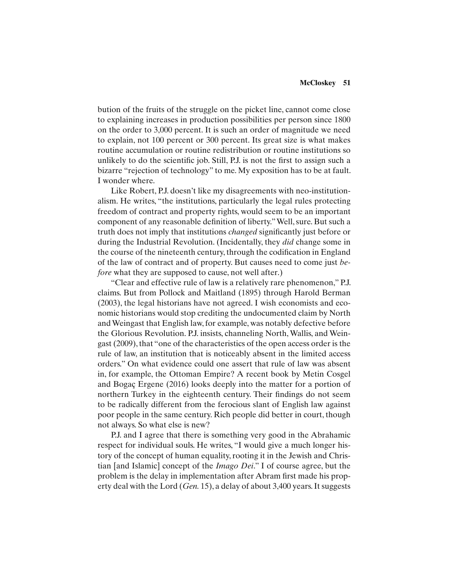#### **McCloskey 51**

bution of the fruits of the struggle on the picket line, cannot come close to explaining increases in production possibilities per person since 1800 on the order to 3,000 percent. It is such an order of magnitude we need to explain, not 100 percent or 300 percent. Its great size is what makes routine accumulation or routine redistribution or routine institutions so unlikely to do the scientific job. Still, P.J. is not the first to assign such a bizarre "rejection of technology" to me. My exposition has to be at fault. I wonder where.

Like Robert, P.J. doesn't like my disagreements with neo-institutionalism. He writes, "the institutions, particularly the legal rules protecting freedom of contract and property rights, would seem to be an important component of any reasonable definition of liberty." Well, sure. But such a truth does not imply that institutions *changed* significantly just before or during the Industrial Revolution. (Incidentally, they *did* change some in the course of the nineteenth century, through the codification in England of the law of contract and of property. But causes need to come just *before* what they are supposed to cause, not well after.)

"Clear and effective rule of law is a relatively rare phenomenon," P.J. claims. But from Pollock and Maitland (1895) through Harold Berman (2003), the legal historians have not agreed. I wish economists and economic historians would stop crediting the undocumented claim by North and Weingast that English law, for example, was notably defective before the Glorious Revolution. P.J. insists, channeling North, Wallis, and Weingast (2009), that "one of the characteristics of the open access order is the rule of law, an institution that is noticeably absent in the limited access orders." On what evidence could one assert that rule of law was absent in, for example, the Ottoman Empire? A recent book by Metin Cosgel and Bogaç Ergene (2016) looks deeply into the matter for a portion of northern Turkey in the eighteenth century. Their findings do not seem to be radically different from the ferocious slant of English law against poor people in the same century. Rich people did better in court, though not always. So what else is new?

P.J. and I agree that there is something very good in the Abrahamic respect for individual souls. He writes, "I would give a much longer history of the concept of human equality, rooting it in the Jewish and Christian [and Islamic] concept of the *Imago Dei*." I of course agree, but the problem is the delay in implementation after Abram first made his property deal with the Lord (*Gen.* 15), a delay of about 3,400 years. It suggests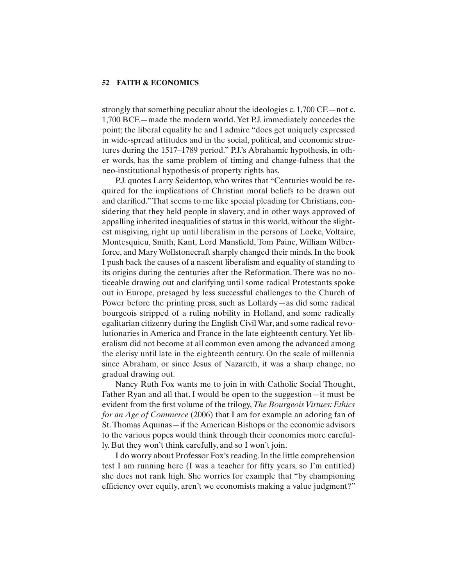strongly that something peculiar about the ideologies c. 1,700 CE—not c. 1,700 BCE—made the modern world. Yet P.J. immediately concedes the point; the liberal equality he and I admire "does get uniquely expressed in wide-spread attitudes and in the social, political, and economic structures during the 1517–1789 period." P.J.'s Abrahamic hypothesis, in other words, has the same problem of timing and change-fulness that the neo-institutional hypothesis of property rights has.

P.J. quotes Larry Seidentop, who writes that "Centuries would be required for the implications of Christian moral beliefs to be drawn out and clarified." That seems to me like special pleading for Christians, considering that they held people in slavery, and in other ways approved of appalling inherited inequalities of status in this world, without the slightest misgiving, right up until liberalism in the persons of Locke, Voltaire, Montesquieu, Smith, Kant, Lord Mansfield, Tom Paine, William Wilberforce, and Mary Wollstonecraft sharply changed their minds. In the book I push back the causes of a nascent liberalism and equality of standing to its origins during the centuries after the Reformation. There was no noticeable drawing out and clarifying until some radical Protestants spoke out in Europe, presaged by less successful challenges to the Church of Power before the printing press, such as Lollardy—as did some radical bourgeois stripped of a ruling nobility in Holland, and some radically egalitarian citizenry during the English Civil War, and some radical revolutionaries in America and France in the late eighteenth century. Yet liberalism did not become at all common even among the advanced among the clerisy until late in the eighteenth century. On the scale of millennia since Abraham, or since Jesus of Nazareth, it was a sharp change, no gradual drawing out.

Nancy Ruth Fox wants me to join in with Catholic Social Thought, Father Ryan and all that. I would be open to the suggestion—it must be evident from the first volume of the trilogy, *The Bourgeois Virtues: Ethics for an Age of Commerce* (2006) that I am for example an adoring fan of St. Thomas Aquinas—if the American Bishops or the economic advisors to the various popes would think through their economics more carefully. But they won't think carefully, and so I won't join.

I do worry about Professor Fox's reading. In the little comprehension test I am running here (I was a teacher for fifty years, so I'm entitled) she does not rank high. She worries for example that "by championing efficiency over equity, aren't we economists making a value judgment?"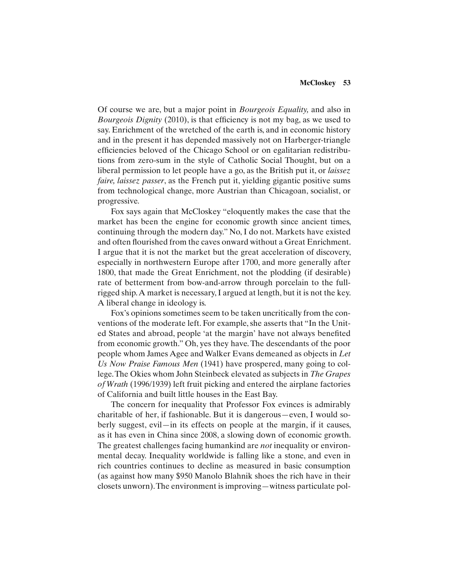Of course we are, but a major point in *Bourgeois Equality,* and also in *Bourgeois Dignity* (2010), is that efficiency is not my bag, as we used to say. Enrichment of the wretched of the earth is, and in economic history and in the present it has depended massively not on Harberger-triangle efficiencies beloved of the Chicago School or on egalitarian redistributions from zero-sum in the style of Catholic Social Thought, but on a liberal permission to let people have a go, as the British put it, or *laissez faire, laissez passer*, as the French put it, yielding gigantic positive sums from technological change, more Austrian than Chicagoan, socialist, or progressive*.*

Fox says again that McCloskey "eloquently makes the case that the market has been the engine for economic growth since ancient times, continuing through the modern day." No, I do not. Markets have existed and often flourished from the caves onward without a Great Enrichment. I argue that it is not the market but the great acceleration of discovery, especially in northwestern Europe after 1700, and more generally after 1800, that made the Great Enrichment, not the plodding (if desirable) rate of betterment from bow-and-arrow through porcelain to the fullrigged ship. A market is necessary, I argued at length, but it is not the key. A liberal change in ideology is.

Fox's opinions sometimes seem to be taken uncritically from the conventions of the moderate left. For example, she asserts that "In the United States and abroad, people 'at the margin' have not always benefited from economic growth." Oh, yes they have. The descendants of the poor people whom James Agee and Walker Evans demeaned as objects in *Let Us Now Praise Famous Men* (1941) have prospered, many going to college. The Okies whom John Steinbeck elevated as subjects in *The Grapes of Wrath* (1996/1939) left fruit picking and entered the airplane factories of California and built little houses in the East Bay.

The concern for inequality that Professor Fox evinces is admirably charitable of her, if fashionable. But it is dangerous—even, I would soberly suggest, evil—in its effects on people at the margin, if it causes, as it has even in China since 2008, a slowing down of economic growth. The greatest challenges facing humankind are *not* inequality or environmental decay. Inequality worldwide is falling like a stone, and even in rich countries continues to decline as measured in basic consumption (as against how many \$950 Manolo Blahnik shoes the rich have in their closets unworn). The environment is improving—witness particulate pol-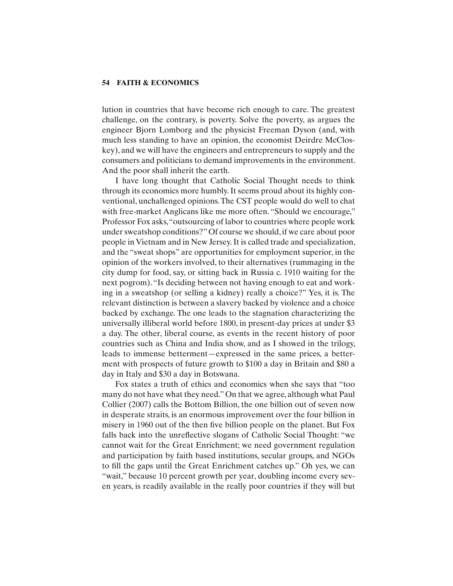lution in countries that have become rich enough to care. The greatest challenge, on the contrary, is poverty. Solve the poverty, as argues the engineer Bjorn Lomborg and the physicist Freeman Dyson (and, with much less standing to have an opinion, the economist Deirdre McCloskey), and we will have the engineers and entrepreneurs to supply and the consumers and politicians to demand improvements in the environment. And the poor shall inherit the earth.

I have long thought that Catholic Social Thought needs to think through its economics more humbly. It seems proud about its highly conventional, unchallenged opinions. The CST people would do well to chat with free-market Anglicans like me more often. "Should we encourage," Professor Fox asks, "outsourcing of labor to countries where people work under sweatshop conditions?" Of course we should, if we care about poor people in Vietnam and in New Jersey. It is called trade and specialization, and the "sweat shops" are opportunities for employment superior, in the opinion of the workers involved, to their alternatives (rummaging in the city dump for food, say, or sitting back in Russia c. 1910 waiting for the next pogrom). "Is deciding between not having enough to eat and working in a sweatshop (or selling a kidney) really a choice?" Yes, it is. The relevant distinction is between a slavery backed by violence and a choice backed by exchange. The one leads to the stagnation characterizing the universally illiberal world before 1800, in present-day prices at under \$3 a day. The other, liberal course, as events in the recent history of poor countries such as China and India show, and as I showed in the trilogy, leads to immense betterment—expressed in the same prices, a betterment with prospects of future growth to \$100 a day in Britain and \$80 a day in Italy and \$30 a day in Botswana.

Fox states a truth of ethics and economics when she says that "too many do not have what they need." On that we agree, although what Paul Collier (2007) calls the Bottom Billion, the one billion out of seven now in desperate straits, is an enormous improvement over the four billion in misery in 1960 out of the then five billion people on the planet. But Fox falls back into the unreflective slogans of Catholic Social Thought: "we cannot wait for the Great Enrichment; we need government regulation and participation by faith based institutions, secular groups, and NGOs to fill the gaps until the Great Enrichment catches up." Oh yes, we can "wait," because 10 percent growth per year, doubling income every seven years, is readily available in the really poor countries if they will but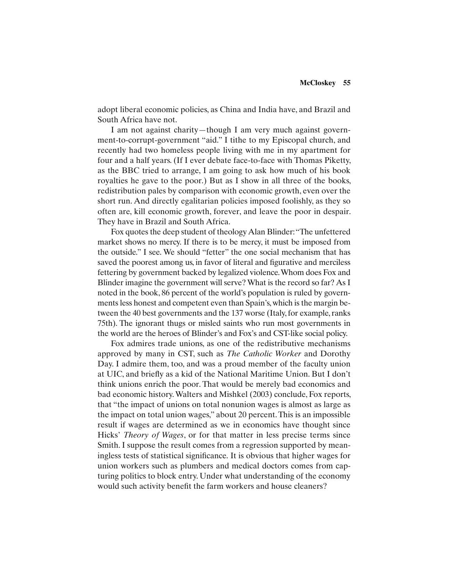adopt liberal economic policies, as China and India have, and Brazil and South Africa have not.

I am not against charity—though I am very much against government-to-corrupt-government "aid." I tithe to my Episcopal church, and recently had two homeless people living with me in my apartment for four and a half years. (If I ever debate face-to-face with Thomas Piketty, as the BBC tried to arrange, I am going to ask how much of his book royalties he gave to the poor.) But as I show in all three of the books, redistribution pales by comparison with economic growth, even over the short run. And directly egalitarian policies imposed foolishly, as they so often are, kill economic growth, forever, and leave the poor in despair. They have in Brazil and South Africa.

Fox quotes the deep student of theology Alan Blinder: "The unfettered market shows no mercy. If there is to be mercy, it must be imposed from the outside." I see. We should "fetter" the one social mechanism that has saved the poorest among us, in favor of literal and figurative and merciless fettering by government backed by legalized violence. Whom does Fox and Blinder imagine the government will serve? What is the record so far? As I noted in the book, 86 percent of the world's population is ruled by governments less honest and competent even than Spain's, which is the margin between the 40 best governments and the 137 worse (Italy, for example, ranks 75th). The ignorant thugs or misled saints who run most governments in the world are the heroes of Blinder's and Fox's and CST-like social policy.

Fox admires trade unions, as one of the redistributive mechanisms approved by many in CST, such as *The Catholic Worker* and Dorothy Day. I admire them, too, and was a proud member of the faculty union at UIC, and briefly as a kid of the National Maritime Union. But I don't think unions enrich the poor. That would be merely bad economics and bad economic history. Walters and Mishkel (2003) conclude, Fox reports, that "the impact of unions on total nonunion wages is almost as large as the impact on total union wages," about 20 percent. This is an impossible result if wages are determined as we in economics have thought since Hicks' *Theory of Wages*, or for that matter in less precise terms since Smith. I suppose the result comes from a regression supported by meaningless tests of statistical significance. It is obvious that higher wages for union workers such as plumbers and medical doctors comes from capturing politics to block entry. Under what understanding of the economy would such activity benefit the farm workers and house cleaners?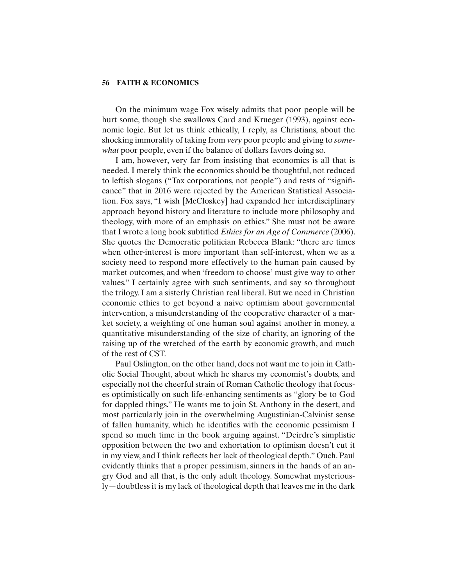On the minimum wage Fox wisely admits that poor people will be hurt some, though she swallows Card and Krueger (1993), against economic logic. But let us think ethically, I reply, as Christians, about the shocking immorality of taking from *very* poor people and giving to *somewhat* poor people, even if the balance of dollars favors doing so.

I am, however, very far from insisting that economics is all that is needed. I merely think the economics should be thoughtful, not reduced to leftish slogans ("Tax corporations, not people") and tests of "significance" that in 2016 were rejected by the American Statistical Association. Fox says, "I wish [McCloskey] had expanded her interdisciplinary approach beyond history and literature to include more philosophy and theology, with more of an emphasis on ethics." She must not be aware that I wrote a long book subtitled *Ethics for an Age of Commerce* (2006). She quotes the Democratic politician Rebecca Blank: "there are times when other-interest is more important than self-interest, when we as a society need to respond more effectively to the human pain caused by market outcomes, and when 'freedom to choose' must give way to other values." I certainly agree with such sentiments, and say so throughout the trilogy. I am a sisterly Christian real liberal. But we need in Christian economic ethics to get beyond a naive optimism about governmental intervention, a misunderstanding of the cooperative character of a market society, a weighting of one human soul against another in money, a quantitative misunderstanding of the size of charity, an ignoring of the raising up of the wretched of the earth by economic growth, and much of the rest of CST.

Paul Oslington, on the other hand, does not want me to join in Catholic Social Thought, about which he shares my economist's doubts, and especially not the cheerful strain of Roman Catholic theology that focuses optimistically on such life-enhancing sentiments as "glory be to God for dappled things." He wants me to join St. Anthony in the desert, and most particularly join in the overwhelming Augustinian-Calvinist sense of fallen humanity, which he identifies with the economic pessimism I spend so much time in the book arguing against. "Deirdre's simplistic opposition between the two and exhortation to optimism doesn't cut it in my view, and I think reflects her lack of theological depth." Ouch. Paul evidently thinks that a proper pessimism, sinners in the hands of an angry God and all that, is the only adult theology. Somewhat mysteriously—doubtless it is my lack of theological depth that leaves me in the dark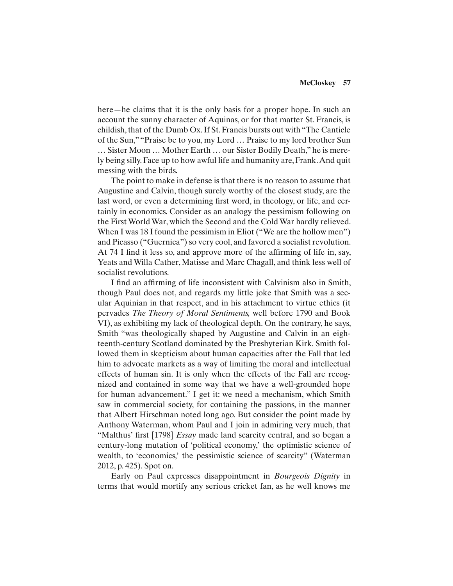here—he claims that it is the only basis for a proper hope. In such an account the sunny character of Aquinas, or for that matter St. Francis, is childish, that of the Dumb Ox. If St. Francis bursts out with "The Canticle of the Sun," "Praise be to you, my Lord … Praise to my lord brother Sun … Sister Moon … Mother Earth … our Sister Bodily Death," he is merely being silly. Face up to how awful life and humanity are, Frank. And quit messing with the birds.

The point to make in defense is that there is no reason to assume that Augustine and Calvin, though surely worthy of the closest study, are the last word, or even a determining first word, in theology, or life, and certainly in economics. Consider as an analogy the pessimism following on the First World War, which the Second and the Cold War hardly relieved. When I was 18 I found the pessimism in Eliot ("We are the hollow men") and Picasso ("Guernica") so very cool, and favored a socialist revolution. At 74 I find it less so, and approve more of the affirming of life in, say, Yeats and Willa Cather, Matisse and Marc Chagall, and think less well of socialist revolutions.

I find an affirming of life inconsistent with Calvinism also in Smith, though Paul does not, and regards my little joke that Smith was a secular Aquinian in that respect, and in his attachment to virtue ethics (it pervades *The Theory of Moral Sentiments,* well before 1790 and Book VI), as exhibiting my lack of theological depth. On the contrary, he says, Smith "was theologically shaped by Augustine and Calvin in an eighteenth-century Scotland dominated by the Presbyterian Kirk. Smith followed them in skepticism about human capacities after the Fall that led him to advocate markets as a way of limiting the moral and intellectual effects of human sin. It is only when the effects of the Fall are recognized and contained in some way that we have a well-grounded hope for human advancement." I get it: we need a mechanism, which Smith saw in commercial society, for containing the passions, in the manner that Albert Hirschman noted long ago. But consider the point made by Anthony Waterman, whom Paul and I join in admiring very much, that "Malthus' first [1798] *Essay* made land scarcity central, and so began a century-long mutation of 'political economy,' the optimistic science of wealth, to 'economics,' the pessimistic science of scarcity" (Waterman 2012, p. 425). Spot on.

Early on Paul expresses disappointment in *Bourgeois Dignity* in terms that would mortify any serious cricket fan, as he well knows me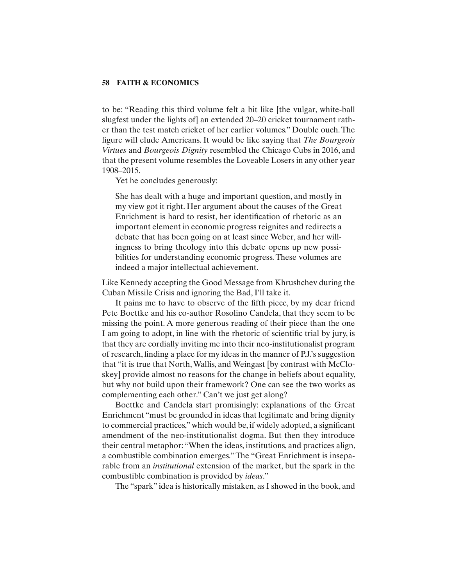to be: "Reading this third volume felt a bit like [the vulgar, white-ball slugfest under the lights of] an extended 20–20 cricket tournament rather than the test match cricket of her earlier volumes." Double ouch. The figure will elude Americans. It would be like saying that *The Bourgeois Virtues* and *Bourgeois Dignity* resembled the Chicago Cubs in 2016, and that the present volume resembles the Loveable Losers in any other year 1908–2015.

Yet he concludes generously:

She has dealt with a huge and important question, and mostly in my view got it right. Her argument about the causes of the Great Enrichment is hard to resist, her identification of rhetoric as an important element in economic progress reignites and redirects a debate that has been going on at least since Weber, and her willingness to bring theology into this debate opens up new possibilities for understanding economic progress. These volumes are indeed a major intellectual achievement.

Like Kennedy accepting the Good Message from Khrushchev during the Cuban Missile Crisis and ignoring the Bad, I'll take it.

It pains me to have to observe of the fifth piece, by my dear friend Pete Boettke and his co-author Rosolino Candela, that they seem to be missing the point. A more generous reading of their piece than the one I am going to adopt, in line with the rhetoric of scientific trial by jury, is that they are cordially inviting me into their neo-institutionalist program of research, finding a place for my ideas in the manner of P.J.'s suggestion that "it is true that North, Wallis, and Weingast [by contrast with McCloskey] provide almost no reasons for the change in beliefs about equality, but why not build upon their framework? One can see the two works as complementing each other." Can't we just get along?

Boettke and Candela start promisingly: explanations of the Great Enrichment "must be grounded in ideas that legitimate and bring dignity to commercial practices," which would be, if widely adopted, a significant amendment of the neo-institutionalist dogma. But then they introduce their central metaphor: "When the ideas, institutions, and practices align, a combustible combination emerges." The "Great Enrichment is inseparable from an *institutional* extension of the market, but the spark in the combustible combination is provided by *ideas*."

The "spark" idea is historically mistaken, as I showed in the book, and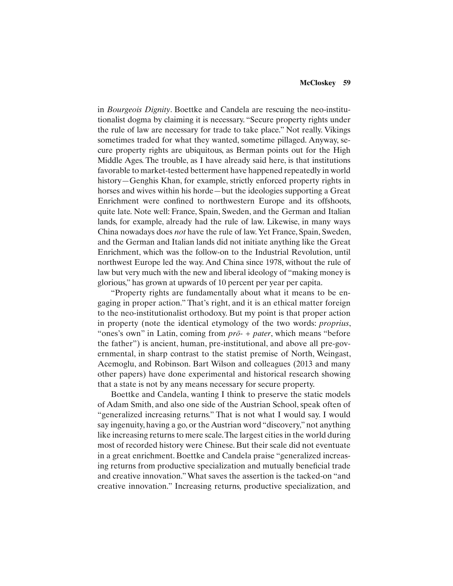in *Bourgeois Dignity*. Boettke and Candela are rescuing the neo-institutionalist dogma by claiming it is necessary. "Secure property rights under the rule of law are necessary for trade to take place." Not really. Vikings sometimes traded for what they wanted, sometime pillaged. Anyway, secure property rights are ubiquitous, as Berman points out for the High Middle Ages. The trouble, as I have already said here, is that institutions favorable to market-tested betterment have happened repeatedly in world history—Genghis Khan, for example, strictly enforced property rights in horses and wives within his horde—but the ideologies supporting a Great Enrichment were confined to northwestern Europe and its offshoots, quite late. Note well: France, Spain, Sweden, and the German and Italian lands, for example, already had the rule of law. Likewise, in many ways China nowadays does *not* have the rule of law. Yet France, Spain, Sweden, and the German and Italian lands did not initiate anything like the Great Enrichment, which was the follow-on to the Industrial Revolution, until northwest Europe led the way. And China since 1978, without the rule of law but very much with the new and liberal ideology of "making money is glorious," has grown at upwards of 10 percent per year per capita.

"Property rights are fundamentally about what it means to be engaging in proper action." That's right, and it is an ethical matter foreign to the neo-institutionalist orthodoxy. But my point is that proper action in property (note the identical etymology of the two words: *proprius*, "ones's own" in Latin, coming from *prō*- + *pater*, which means "before the father") is ancient, human, pre-institutional, and above all pre-governmental, in sharp contrast to the statist premise of North, Weingast, Acemoglu, and Robinson. Bart Wilson and colleagues (2013 and many other papers) have done experimental and historical research showing that a state is not by any means necessary for secure property.

Boettke and Candela, wanting I think to preserve the static models of Adam Smith, and also one side of the Austrian School, speak often of "generalized increasing returns." That is not what I would say. I would say ingenuity, having a go, or the Austrian word "discovery," not anything like increasing returns to mere scale. The largest cities in the world during most of recorded history were Chinese. But their scale did not eventuate in a great enrichment. Boettke and Candela praise "generalized increasing returns from productive specialization and mutually beneficial trade and creative innovation." What saves the assertion is the tacked-on "and creative innovation." Increasing returns, productive specialization, and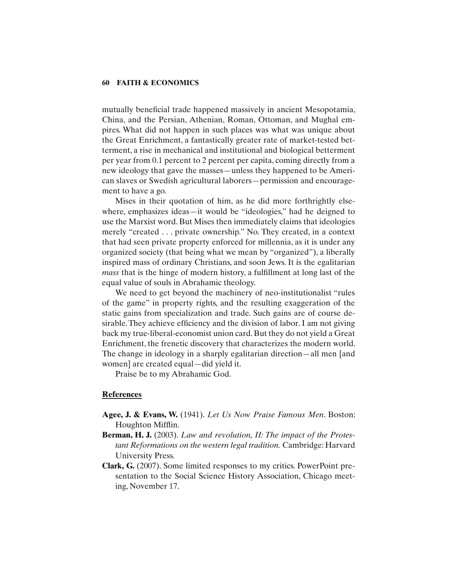mutually beneficial trade happened massively in ancient Mesopotamia, China, and the Persian, Athenian, Roman, Ottoman, and Mughal empires. What did not happen in such places was what was unique about the Great Enrichment, a fantastically greater rate of market-tested betterment, a rise in mechanical and institutional and biological betterment per year from 0.1 percent to 2 percent per capita, coming directly from a new ideology that gave the masses—unless they happened to be American slaves or Swedish agricultural laborers—permission and encouragement to have a go.

Mises in their quotation of him, as he did more forthrightly elsewhere, emphasizes ideas—it would be "ideologies," had he deigned to use the Marxist word. But Mises then immediately claims that ideologies merely "created . . . private ownership." No. They created, in a context that had seen private property enforced for millennia, as it is under any organized society (that being what we mean by "organized"), a liberally inspired mass of ordinary Christians, and soon Jews. It is the egalitarian *mass* that is the hinge of modern history, a fulfillment at long last of the equal value of souls in Abrahamic theology.

We need to get beyond the machinery of neo-institutionalist "rules of the game" in property rights, and the resulting exaggeration of the static gains from specialization and trade. Such gains are of course desirable. They achieve efficiency and the division of labor. I am not giving back my true-liberal-economist union card. But they do not yield a Great Enrichment, the frenetic discovery that characterizes the modern world. The change in ideology in a sharply egalitarian direction—all men [and women] are created equal—did yield it.

Praise be to my Abrahamic God.

### **References**

- **Agee, J. & Evans, W.** (1941). *Let Us Now Praise Famous Men*. Boston: Houghton Mifflin.
- **Berman, H. J.** (2003). *Law and revolution, II: The impact of the Protestant Reformations on the western legal tradition.* Cambridge: Harvard University Press.
- **Clark, G.** (2007). Some limited responses to my critics. PowerPoint presentation to the Social Science History Association, Chicago meeting, November 17.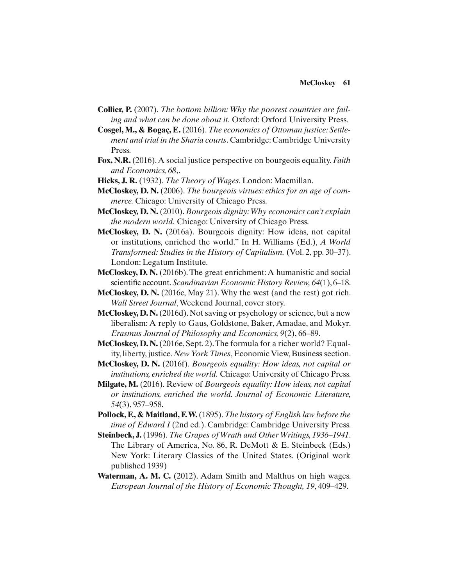- **Collier, P.** (2007). *The bottom billion: Why the poorest countries are failing and what can be done about it.* Oxford: Oxford University Press.
- **Cosgel, M., & Bogaç, E.** (2016). *The economics of Ottoman justice: Settlement and trial in the Sharia courts*. Cambridge: Cambridge University Press.
- **Fox, N.R.** (2016). A social justice perspective on bourgeois equality. *Faith and Economics, 68*,.
- **Hicks, J. R.** (1932). *The Theory of Wages*. London: Macmillan.
- **McCloskey, D. N.** (2006). *The bourgeois virtues: ethics for an age of commerce.* Chicago: University of Chicago Press.
- **McCloskey, D. N.** (2010). *Bourgeois dignity: Why economics can't explain the modern world.* Chicago: University of Chicago Press.
- **McCloskey, D. N.** (2016a). Bourgeois dignity: How ideas, not capital or institutions, enriched the world." In H. Williams (Ed.), *A World Transformed: Studies in the History of Capitalism.* (Vol. 2, pp. 30–37). London: Legatum Institute.
- **McCloskey, D. N.** (2016b). The great enrichment: A humanistic and social scientific account. Scandinavian Economic History Review, 64(1), 6–18.
- **McCloskey, D. N.** (2016c, May 21). Why the west (and the rest) got rich. *Wall Street Journal*, Weekend Journal, cover story.
- **McCloskey, D. N.** (2016d). Not saving or psychology or science, but a new liberalism: A reply to Gaus, Goldstone, Baker, Amadae, and Mokyr. *Erasmus Journal of Philosophy and Economics, 9*(2), 66–89.
- **McCloskey, D. N.** (2016e, Sept. 2). The formula for a richer world? Equality, liberty, justice. *New York Times*, Economic View, Business section.
- **McCloskey, D. N.** (2016f). *Bourgeois equality: How ideas, not capital or institutions, enriched the world.* Chicago: University of Chicago Press.
- **Milgate, M.** (2016). Review of *Bourgeois equality: How ideas, not capital or institutions, enriched the world. Journal of Economic Literature, 54*(3), 957–958.
- **Pollock, F., & Maitland, F. W.** (1895). *The history of English law before the time of Edward I* (2nd ed.). Cambridge: Cambridge University Press.
- **Steinbeck, J.** (1996). *The Grapes of Wrath and Other Writings, 1936–1941*. The Library of America, No. 86, R. DeMott & E. Steinbeck (Eds.) New York: Literary Classics of the United States. (Original work published 1939)
- Waterman, A. M. C. (2012). Adam Smith and Malthus on high wages. *European Journal of the History of Economic Thought, 19*, 409–429.